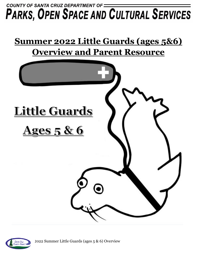## COUNTY OF SANTA CRUZ DEPARTMENT OF = **PARKS, OPEN SPACE AND CULTURAL SERVICES**

# **Summer 2022 Little Guards (ages 5&6) Overview and Parent Resource**



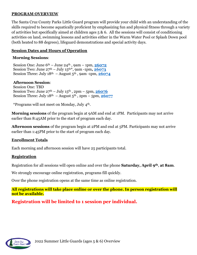#### **PROGRAM OVERVIEW**

The Santa Cruz County Parks Little Guard program will provide your child with an understanding of the skills required to become aquatically proficient by emphasizing fun and physical fitness through a variety of activities but specifically aimed at children ages  $5 \& 6$ . All the sessions will consist of conditioning activities on land, swimming lessons and activities either in the Warm Water Pool or Splash Down pool (both heated to 88 degrees), lifeguard demonstrations and special activity days.

#### **Session Dates and Hours of Operation**

#### **Morning Sessions**:

Session One: June  $6^{th}$  – June  $24^{th}$ , 9am – 1pm,  $26072$ Session Two: June 27th – July 15th\*, 9am -1pm**, [26073](https://anc.apm.activecommunities.com/santacruzcountyparks/activity/search/detail/21077?onlineSiteId=0&from_original_cui=true)** Session Three: July  $18<sup>th</sup>$  – August  $5<sup>th</sup>$ , 9am -1pm,  $26074$ 

#### **Afternoon Session**:

Session One: TBD Session Two: June  $27^{th}$  – July  $15^{th}$ ,  $2pm$  –  $5pm$ ,  $26076$ Session Three: July  $18<sup>th</sup>$  – August  $5<sup>th</sup>$ ,  $2pm$  –  $5pm$ ,  $26077$ 

\*Programs will not meet on Monday, July 4th.

**Morning sessions** of the program begin at 9AM and end at 1PM. Participants may not arrive earlier than 8:45AM prior to the start of program each day.

**Afternoon sessions** of the program begin at 2PM and end at 5PM. Participants may not arrive earlier than 1:45PM prior to the start of program each day.

#### **Enrollment Totals**

Each morning and afternoon session will have 25 participants total.

#### **Registration**

Registration for all sessions will open online and over the phone **Saturday, April 9th**, **at 8am**.

We strongly encourage online registration, programs fill quickly.

Over the phone registration opens at the same time as online registration.

**All registrations will take place online or over the phone. In person registration will not be available.**

**Registration will be limited to 1 session per individual.**

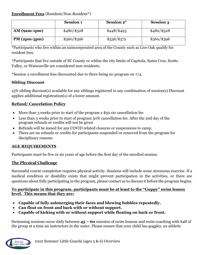#### **Enrollment Fees** (Resident/Non-Resident\*)

|                | <b>Session 1</b> | <b>Session 2*</b> | <b>Session 3</b> |
|----------------|------------------|-------------------|------------------|
| $AM$ (9am-1pm) | $$480/\$528$     | \$448/\$493       | $$480/\$528$     |
| $PM(2pm-5pm)$  | $$360/\$396$     | $\$336/\$372$     | \$360/\$396      |

\*Participants who live within an unincorporated area of the County such as Live Oak qualify for resident fees.

\*Participants that live outside of SC County or within the city limits of Capitola, Santa Cruz, Scotts Valley, or Watsonville are considered non-residents.

\*Session 2 enrollment fees discounted due to there being no program on 7/4.

## **Sibling Discount**

15% sibling discount(s) available for any siblings registered in any combination of session(s) Discount applies additional registration(s) of a lower amount.

## **Refund/ Cancelation Policy**

- More than 3 weeks prior to start of the program a \$50.00 cancellation fee
- Less than 3 weeks prior to start of program 50% cancellation fee. After the 2nd day of the program refunds or credits will not be given
- Refunds will be issued for any COVID related closures or suspensions to camp.
- There are no refunds or credits for participants suspended or removed from the program for disciplinary reasons

## **AGE REQUIREMENTS**

Participants must be five or six years of age before the first day of the enrolled session.

## **The Physical Challenge**

Successful course completion requires physical activity. Sessions will include some strenuous exercise. If a medical condition or disability exists that might prevent participation in the activities, or there are questions about fully participating in the program, please contact us to discuss it before the program begins.

#### **To participate in this program, participants must be at least to the "Guppy" swim lesson level. This means that they are:**

- **Capable of fully submerging their faces and blowing bubbles repeatedly.**
- **Can float on front and back with or without support.**
- **Capable of kicking with or without support while floating on back or front.**

Swimming sessions occur daily between **45 – 60** minutes of swim lessons and swim coaching with half of the group at a time an instructors in the water. Please ensure that your child has goggles, an athletic

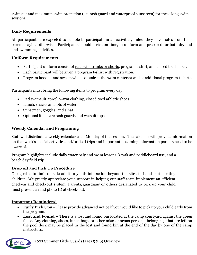swimsuit and maximum swim protection (i.e. rash guard and waterproof sunscreen) for these long swim sessions

## **Daily Requirements**

All participants are expected to be able to participate in all activities, unless they have notes from their parents saying otherwise. Participants should arrive on time, in uniform and prepared for both dryland and swimming activities.

#### **Uniform Requirements**

- Participant uniform consist of <u>red swim trunks or shorts</u>, program t-shirt, and closed toed shoes.
- Each participant will be given a program t-shirt with registration.
- Program hoodies and sweats will be on sale at the swim center as well as additional program t-shirts.

Participants must bring the following items to program every day:

- Red swimsuit, towel, warm clothing, closed toed athletic shoes
- Lunch, snacks and lots of water
- Sunscreen, goggles, and a hat
- Optional items are rash guards and wetsuit tops

## **Weekly Calendar and Programing**

Staff will distribute a weekly calendar each Monday of the session. The calendar will provide information on that week's special activities and/or field trips and important upcoming information parents need to be aware of.

Program highlights include daily water paly and swim lessons, kayak and paddleboard use, and a beach day field trip.

## **Drop off and Pick Up Procedure**

Our goal is to limit outside adult to youth interaction beyond the site staff and participating children. We greatly appreciate your support in helping our staff team implement an efficient check-in and check-out system. Parents/guardians or others designated to pick up your child must present a valid photo ID at check-out.

## **Important Reminders!**

- **Early Pick Ups**  Please provide advanced notice if you would like to pick up your child early from the program.
- **Lost and Found –** There is a lost and found bin located at the camp courty are against the green fence. Any clothing, shoes, lunch bags, or other miscellaneous personal belongings that are left on the pool deck may be placed in the lost and found bin at the end of the day by one of the camp instructors.